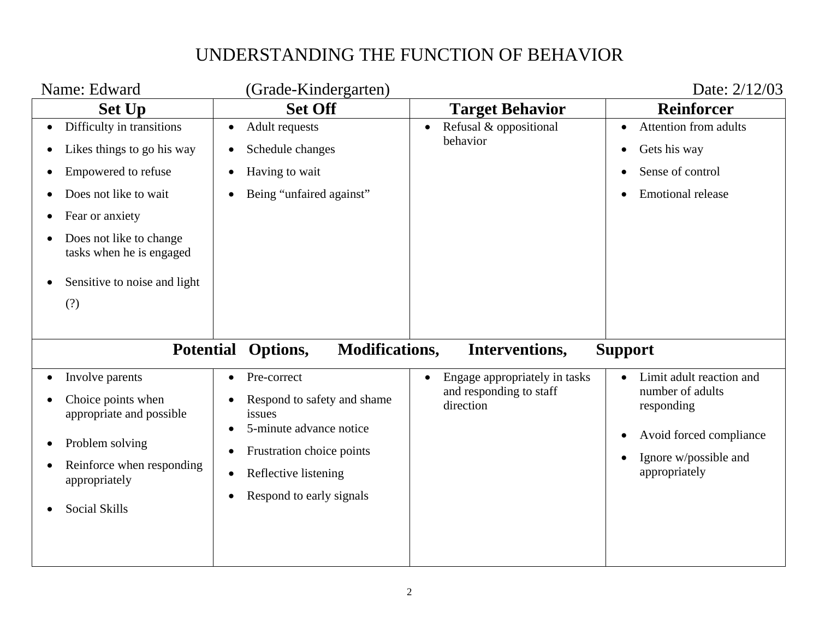| Name: Edward                                                                                                                                                                                                                          | (Grade-Kindergarten)                                                                                                                                                                                                 |                                                                                    | Date: 2/12/03                                                                                                                                                          |
|---------------------------------------------------------------------------------------------------------------------------------------------------------------------------------------------------------------------------------------|----------------------------------------------------------------------------------------------------------------------------------------------------------------------------------------------------------------------|------------------------------------------------------------------------------------|------------------------------------------------------------------------------------------------------------------------------------------------------------------------|
| <b>Set Up</b>                                                                                                                                                                                                                         | <b>Set Off</b>                                                                                                                                                                                                       | <b>Target Behavior</b>                                                             | <b>Reinforcer</b>                                                                                                                                                      |
| Difficulty in transitions<br>Likes things to go his way<br>$\bullet$<br>Empowered to refuse<br>Does not like to wait<br>Fear or anxiety<br>Does not like to change<br>tasks when he is engaged<br>Sensitive to noise and light<br>(?) | <b>Adult requests</b><br>Schedule changes<br>$\bullet$<br>Having to wait<br>$\bullet$<br>Being "unfaired against"                                                                                                    | Refusal & oppositional<br>$\bullet$<br>behavior                                    | <b>Attention from adults</b><br>$\bullet$<br>Gets his way<br>$\bullet$<br>Sense of control<br>$\bullet$<br><b>Emotional release</b><br>$\bullet$                       |
| <b>Potential</b>                                                                                                                                                                                                                      | <b>Modifications,</b><br>Options,                                                                                                                                                                                    | Interventions,                                                                     | <b>Support</b>                                                                                                                                                         |
| Involve parents<br>Choice points when<br>appropriate and possible<br>Problem solving<br>Reinforce when responding<br>appropriately<br><b>Social Skills</b>                                                                            | Pre-correct<br>Respond to safety and shame<br>issues<br>5-minute advance notice<br>$\bullet$<br>Frustration choice points<br>$\bullet$<br>Reflective listening<br>$\bullet$<br>Respond to early signals<br>$\bullet$ | Engage appropriately in tasks<br>$\bullet$<br>and responding to staff<br>direction | Limit adult reaction and<br>$\bullet$<br>number of adults<br>responding<br>Avoid forced compliance<br>$\bullet$<br>Ignore w/possible and<br>$\bullet$<br>appropriately |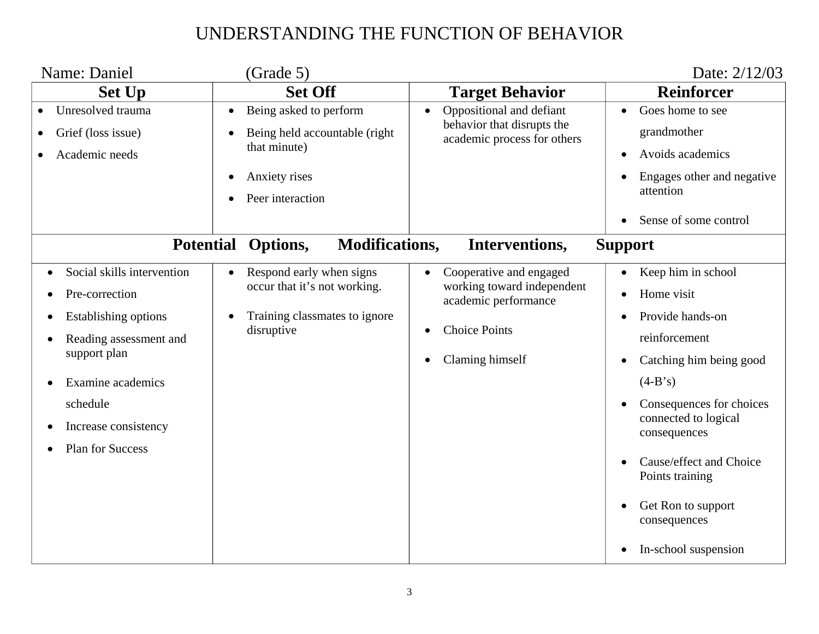| Name: Daniel                                                                                                                                                                                       | (Grade 5)                                                                                                     |                                                                                                                          | Date: 2/12/03                                                                                                                                                                                                                                                                                                                                                       |
|----------------------------------------------------------------------------------------------------------------------------------------------------------------------------------------------------|---------------------------------------------------------------------------------------------------------------|--------------------------------------------------------------------------------------------------------------------------|---------------------------------------------------------------------------------------------------------------------------------------------------------------------------------------------------------------------------------------------------------------------------------------------------------------------------------------------------------------------|
| <b>Set Up</b>                                                                                                                                                                                      | <b>Set Off</b>                                                                                                | <b>Target Behavior</b>                                                                                                   | <b>Reinforcer</b>                                                                                                                                                                                                                                                                                                                                                   |
| Unresolved trauma<br>Grief (loss issue)<br>Academic needs                                                                                                                                          | Being asked to perform<br>Being held accountable (right)<br>that minute)<br>Anxiety rises<br>Peer interaction | Oppositional and defiant<br>behavior that disrupts the<br>academic process for others                                    | Goes home to see<br>$\bullet$<br>grandmother<br>Avoids academics<br>$\bullet$<br>Engages other and negative<br>attention<br>Sense of some control                                                                                                                                                                                                                   |
| <b>Potential</b>                                                                                                                                                                                   | <b>Modifications,</b><br>Options,                                                                             | Interventions,                                                                                                           | <b>Support</b>                                                                                                                                                                                                                                                                                                                                                      |
| Social skills intervention<br>Pre-correction<br>Establishing options<br>Reading assessment and<br>support plan<br>Examine academics<br>schedule<br>Increase consistency<br><b>Plan for Success</b> | Respond early when signs<br>occur that it's not working.<br>Training classmates to ignore<br>disruptive       | Cooperative and engaged<br>working toward independent<br>academic performance<br><b>Choice Points</b><br>Claming himself | Keep him in school<br>Home visit<br>$\bullet$<br>Provide hands-on<br>$\bullet$<br>reinforcement<br>Catching him being good<br>$\bullet$<br>$(4-B's)$<br>Consequences for choices<br>$\bullet$<br>connected to logical<br>consequences<br>Cause/effect and Choice<br>Points training<br>Get Ron to support<br>$\bullet$<br>consequences<br>In-school suspension<br>٠ |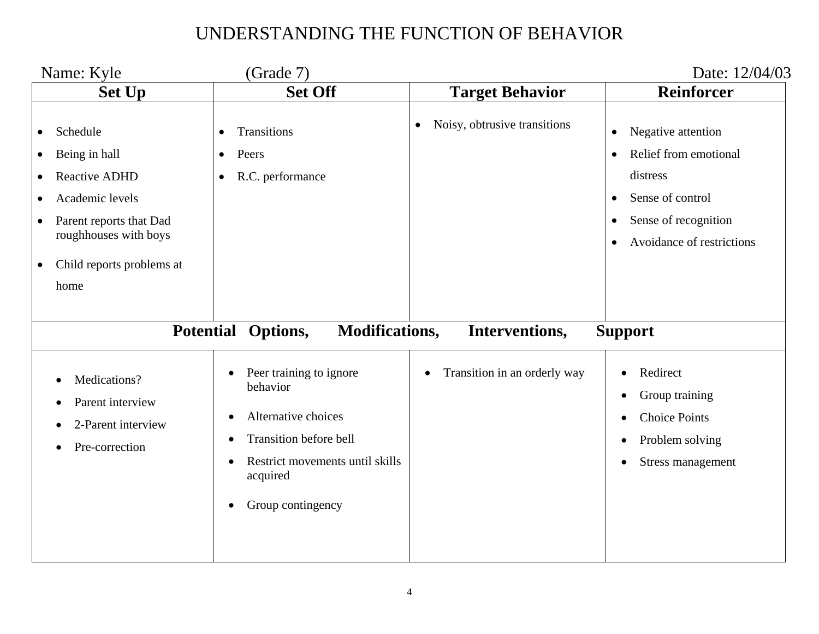|                                                                            | Name: Kyle                                                                                                                                                    | (Grade 7)                                                                                                                                                                                                                         |                                           | Date: 12/04/03                                                                                                                                             |
|----------------------------------------------------------------------------|---------------------------------------------------------------------------------------------------------------------------------------------------------------|-----------------------------------------------------------------------------------------------------------------------------------------------------------------------------------------------------------------------------------|-------------------------------------------|------------------------------------------------------------------------------------------------------------------------------------------------------------|
|                                                                            | <b>Set Up</b>                                                                                                                                                 | <b>Set Off</b>                                                                                                                                                                                                                    | <b>Target Behavior</b>                    | <b>Reinforcer</b>                                                                                                                                          |
| $\bullet$<br>$\bullet$<br>$\bullet$<br>$\bullet$<br>$\bullet$<br>$\bullet$ | Schedule<br>Being in hall<br><b>Reactive ADHD</b><br>Academic levels<br>Parent reports that Dad<br>roughhouses with boys<br>Child reports problems at<br>home | <b>Transitions</b><br>$\bullet$<br>Peers<br>$\bullet$<br>R.C. performance<br>$\bullet$                                                                                                                                            | Noisy, obtrusive transitions<br>$\bullet$ | Negative attention<br>$\bullet$<br>Relief from emotional<br>distress<br>Sense of control<br>Sense of recognition<br>$\bullet$<br>Avoidance of restrictions |
|                                                                            | <b>Potential</b>                                                                                                                                              | Options,<br><b>Modifications,</b>                                                                                                                                                                                                 | Interventions,                            | <b>Support</b>                                                                                                                                             |
|                                                                            | Medications?<br>Parent interview<br>2-Parent interview<br>Pre-correction                                                                                      | Peer training to ignore<br>$\bullet$<br>behavior<br>Alternative choices<br>$\bullet$<br><b>Transition before bell</b><br>$\bullet$<br>Restrict movements until skills<br>$\epsilon$<br>acquired<br>Group contingency<br>$\bullet$ | Transition in an orderly way<br>$\bullet$ | Redirect<br>Group training<br><b>Choice Points</b><br>Problem solving<br>$\bullet$<br>Stress management                                                    |